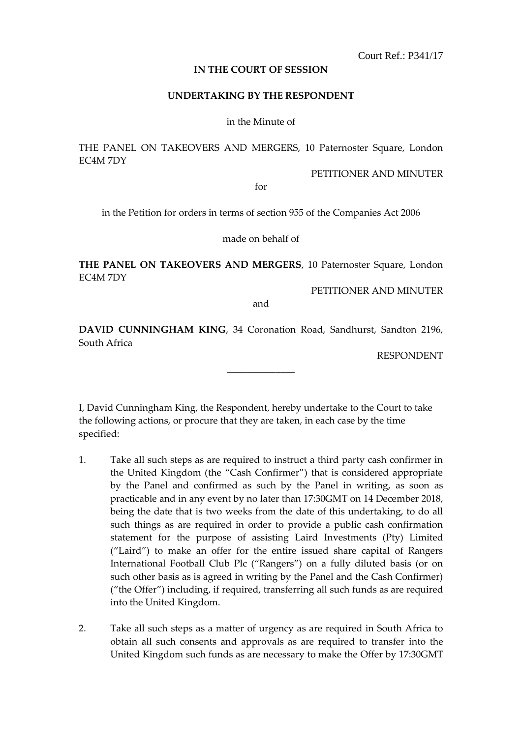Court Ref.: P341/17

**IN THE COURT OF SESSION**

## **UNDERTAKING BY THE RESPONDENT**

in the Minute of

THE PANEL ON TAKEOVERS AND MERGERS, 10 Paternoster Square, London EC4M 7DY

PETITIONER AND MINUTER

for

in the Petition for orders in terms of section 955 of the Companies Act 2006

made on behalf of

**THE PANEL ON TAKEOVERS AND MERGERS**, 10 Paternoster Square, London EC4M 7DY

PETITIONER AND MINUTER

and

**DAVID CUNNINGHAM KING**, 34 Coronation Road, Sandhurst, Sandton 2196, South Africa

\_\_\_\_\_\_\_\_\_\_\_\_\_\_

RESPONDENT

I, David Cunningham King, the Respondent, hereby undertake to the Court to take the following actions, or procure that they are taken, in each case by the time specified:

- 1. Take all such steps as are required to instruct a third party cash confirmer in the United Kingdom (the "Cash Confirmer") that is considered appropriate by the Panel and confirmed as such by the Panel in writing, as soon as practicable and in any event by no later than 17:30GMT on 14 December 2018, being the date that is two weeks from the date of this undertaking, to do all such things as are required in order to provide a public cash confirmation statement for the purpose of assisting Laird Investments (Pty) Limited ("Laird") to make an offer for the entire issued share capital of Rangers International Football Club Plc ("Rangers") on a fully diluted basis (or on such other basis as is agreed in writing by the Panel and the Cash Confirmer) ("the Offer") including, if required, transferring all such funds as are required into the United Kingdom.
- 2. Take all such steps as a matter of urgency as are required in South Africa to obtain all such consents and approvals as are required to transfer into the United Kingdom such funds as are necessary to make the Offer by 17:30GMT